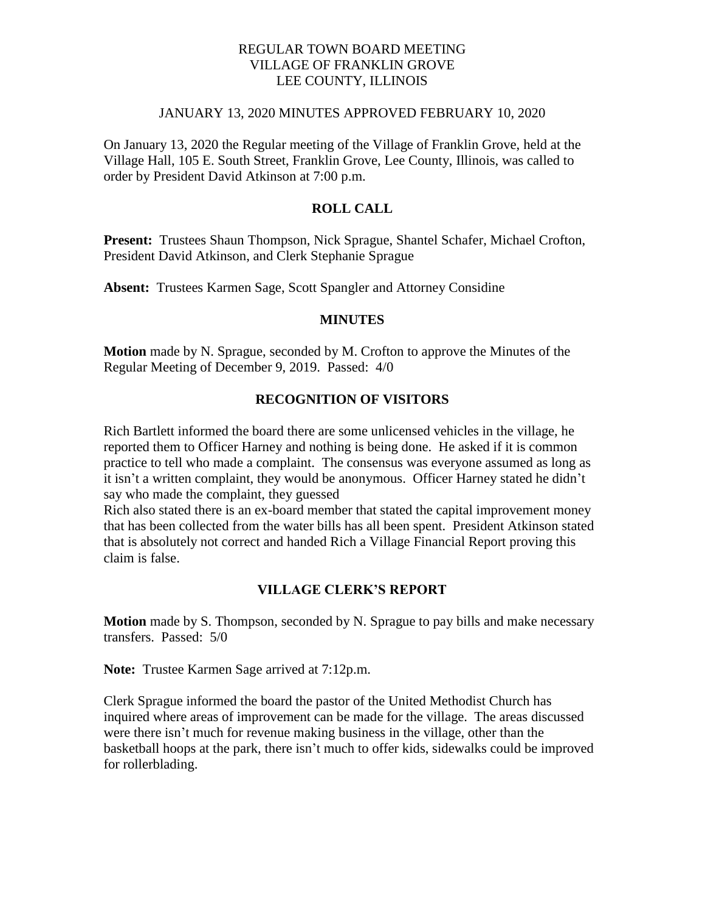# REGULAR TOWN BOARD MEETING VILLAGE OF FRANKLIN GROVE LEE COUNTY, ILLINOIS

## JANUARY 13, 2020 MINUTES APPROVED FEBRUARY 10, 2020

On January 13, 2020 the Regular meeting of the Village of Franklin Grove, held at the Village Hall, 105 E. South Street, Franklin Grove, Lee County, Illinois, was called to order by President David Atkinson at 7:00 p.m.

# **ROLL CALL**

**Present:** Trustees Shaun Thompson, Nick Sprague, Shantel Schafer, Michael Crofton, President David Atkinson, and Clerk Stephanie Sprague

**Absent:** Trustees Karmen Sage, Scott Spangler and Attorney Considine

#### **MINUTES**

**Motion** made by N. Sprague, seconded by M. Crofton to approve the Minutes of the Regular Meeting of December 9, 2019. Passed: 4/0

# **RECOGNITION OF VISITORS**

Rich Bartlett informed the board there are some unlicensed vehicles in the village, he reported them to Officer Harney and nothing is being done. He asked if it is common practice to tell who made a complaint. The consensus was everyone assumed as long as it isn't a written complaint, they would be anonymous. Officer Harney stated he didn't say who made the complaint, they guessed

Rich also stated there is an ex-board member that stated the capital improvement money that has been collected from the water bills has all been spent. President Atkinson stated that is absolutely not correct and handed Rich a Village Financial Report proving this claim is false.

# **VILLAGE CLERK'S REPORT**

**Motion** made by S. Thompson, seconded by N. Sprague to pay bills and make necessary transfers. Passed: 5/0

**Note:** Trustee Karmen Sage arrived at 7:12p.m.

Clerk Sprague informed the board the pastor of the United Methodist Church has inquired where areas of improvement can be made for the village. The areas discussed were there isn't much for revenue making business in the village, other than the basketball hoops at the park, there isn't much to offer kids, sidewalks could be improved for rollerblading.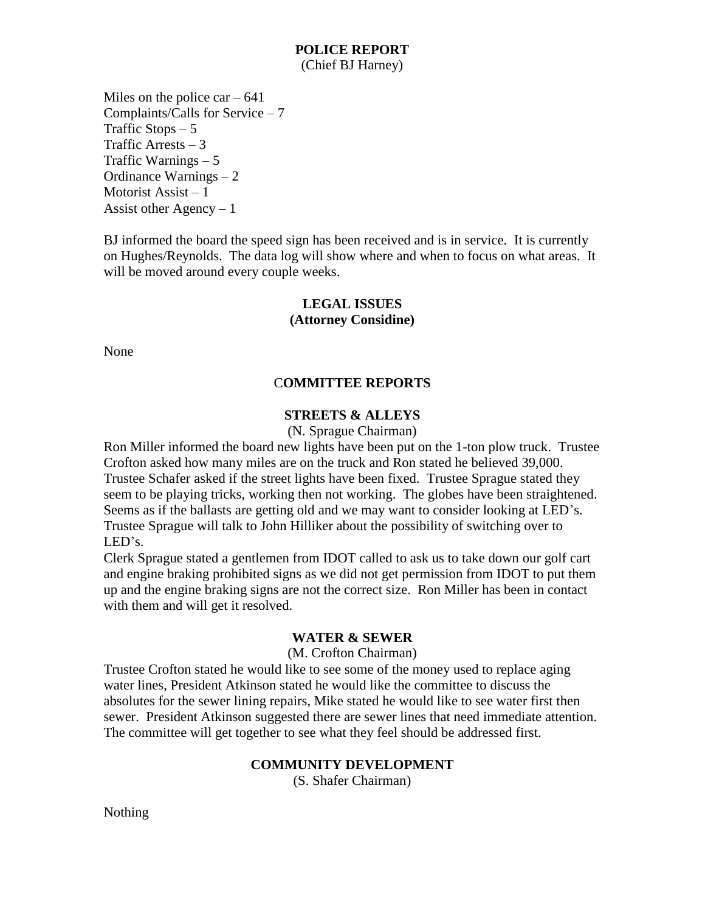### **POLICE REPORT** (Chief BJ Harney)

Miles on the police  $car - 641$ Complaints/Calls for Service – 7 Traffic Stops  $-5$ Traffic Arrests – 3 Traffic Warnings – 5 Ordinance Warnings  $-2$ Motorist Assist – 1 Assist other  $Agency - 1$ 

BJ informed the board the speed sign has been received and is in service. It is currently on Hughes/Reynolds. The data log will show where and when to focus on what areas. It will be moved around every couple weeks.

# **LEGAL ISSUES (Attorney Considine)**

None

# C**OMMITTEE REPORTS**

## **STREETS & ALLEYS**

(N. Sprague Chairman)

Ron Miller informed the board new lights have been put on the 1-ton plow truck. Trustee Crofton asked how many miles are on the truck and Ron stated he believed 39,000. Trustee Schafer asked if the street lights have been fixed. Trustee Sprague stated they seem to be playing tricks, working then not working. The globes have been straightened. Seems as if the ballasts are getting old and we may want to consider looking at LED's. Trustee Sprague will talk to John Hilliker about the possibility of switching over to LED's.

Clerk Sprague stated a gentlemen from IDOT called to ask us to take down our golf cart and engine braking prohibited signs as we did not get permission from IDOT to put them up and the engine braking signs are not the correct size. Ron Miller has been in contact with them and will get it resolved.

## **WATER & SEWER**

(M. Crofton Chairman)

Trustee Crofton stated he would like to see some of the money used to replace aging water lines, President Atkinson stated he would like the committee to discuss the absolutes for the sewer lining repairs, Mike stated he would like to see water first then sewer. President Atkinson suggested there are sewer lines that need immediate attention. The committee will get together to see what they feel should be addressed first.

## **COMMUNITY DEVELOPMENT**

(S. Shafer Chairman)

Nothing